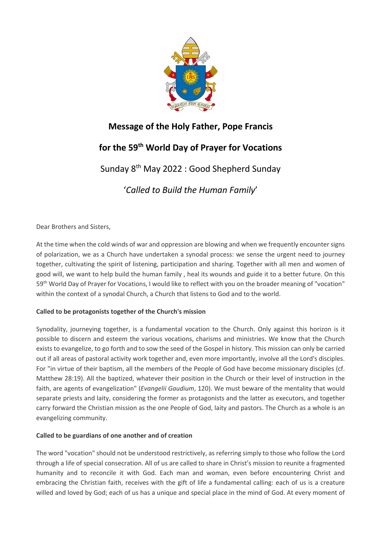

## **Message of the Holy Father, Pope Francis**

# **for the 59th World Day of Prayer for Vocations**

Sunday 8th May 2022 : Good Shepherd Sunday

'*Called to Build the Human Family*'

Dear Brothers and Sisters,

At the time when the cold winds of war and oppression are blowing and when we frequently encounter signs of polarization, we as a Church have undertaken a synodal process: we sense the urgent need to journey together, cultivating the spirit of listening, participation and sharing. Together with all men and women of good will, we want to help build the human family , heal its wounds and guide it to a better future. On this 59th World Day of Prayer for Vocations, I would like to reflect with you on the broader meaning of "vocation" within the context of a synodal Church, a Church that listens to God and to the world.

### **Called to be protagonists together of the Church's mission**

Synodality, journeying together, is a fundamental vocation to the Church. Only against this horizon is it possible to discern and esteem the various vocations, charisms and ministries. We know that the Church exists to evangelize, to go forth and to sow the seed of the Gospel in history. This mission can only be carried out if all areas of pastoral activity work together and, even more importantly, involve all the Lord's disciples. For "in virtue of their baptism, all the members of the People of God have become missionary disciples (cf. Matthew 28:19). All the baptized, whatever their position in the Church or their level of instruction in the faith, are agents of evangelization" (*Evangelii Gaudium*, 120). We must beware of the mentality that would separate priests and laity, considering the former as protagonists and the latter as executors, and together carry forward the Christian mission as the one People of God, laity and pastors. The Church as a whole is an evangelizing community.

#### **Called to be guardians of one another and of creation**

The word "vocation" should not be understood restrictively, as referring simply to those who follow the Lord through a life of special consecration. All of us are called to share in Christ's mission to reunite a fragmented humanity and to reconcile it with God. Each man and woman, even before encountering Christ and embracing the Christian faith, receives with the gift of life a fundamental calling: each of us is a creature willed and loved by God; each of us has a unique and special place in the mind of God. At every moment of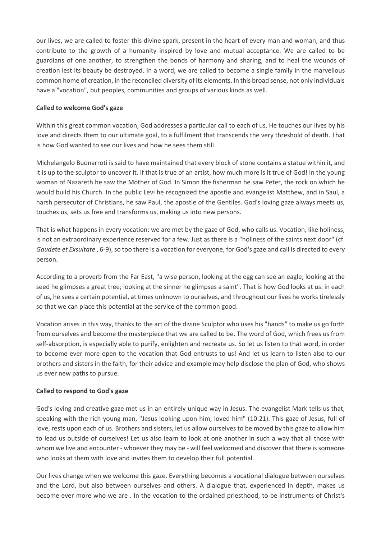our lives, we are called to foster this divine spark, present in the heart of every man and woman, and thus contribute to the growth of a humanity inspired by love and mutual acceptance. We are called to be guardians of one another, to strengthen the bonds of harmony and sharing, and to heal the wounds of creation lest its beauty be destroyed. In a word, we are called to become a single family in the marvellous common home of creation, in the reconciled diversity of its elements. In this broad sense, not only individuals have a "vocation", but peoples, communities and groups of various kinds as well.

#### **Called to welcome God's gaze**

Within this great common vocation, God addresses a particular call to each of us. He touches our lives by his love and directs them to our ultimate goal, to a fulfilment that transcends the very threshold of death. That is how God wanted to see our lives and how he sees them still.

Michelangelo Buonarroti is said to have maintained that every block of stone contains a statue within it, and it is up to the sculptor to uncover it. If that is true of an artist, how much more is it true of God! In the young woman of Nazareth he saw the Mother of God. In Simon the fisherman he saw Peter, the rock on which he would build his Church. In the public Levi he recognized the apostle and evangelist Matthew, and in Saul, a harsh persecutor of Christians, he saw Paul, the apostle of the Gentiles. God's loving gaze always meets us, touches us, sets us free and transforms us, making us into new persons.

That is what happens in every vocation: we are met by the gaze of God, who calls us. Vocation, like holiness, is not an extraordinary experience reserved for a few. Just as there is a "holiness of the saints next door" (cf. *Gaudete et Exsultate* , 6-9), so too there is a vocation for everyone, for God's gaze and call is directed to every person.

According to a proverb from the Far East, "a wise person, looking at the egg can see an eagle; looking at the seed he glimpses a great tree; looking at the sinner he glimpses a saint". That is how God looks at us: in each of us, he sees a certain potential, at times unknown to ourselves, and throughout our lives he works tirelessly so that we can place this potential at the service of the common good.

Vocation arises in this way, thanks to the art of the divine Sculptor who uses his "hands" to make us go forth from ourselves and become the masterpiece that we are called to be. The word of God, which frees us from self-absorption, is especially able to purify, enlighten and recreate us. So let us listen to that word, in order to become ever more open to the vocation that God entrusts to us! And let us learn to listen also to our brothers and sisters in the faith, for their advice and example may help disclose the plan of God, who shows us ever new paths to pursue.

#### **Called to respond to God's gaze**

God's loving and creative gaze met us in an entirely unique way in Jesus. The evangelist Mark tells us that, speaking with the rich young man, "Jesus looking upon him, loved him" (10:21). This gaze of Jesus, full of love, rests upon each of us. Brothers and sisters, let us allow ourselves to be moved by this gaze to allow him to lead us outside of ourselves! Let us also learn to look at one another in such a way that all those with whom we live and encounter - whoever they may be - will feel welcomed and discover that there is someone who looks at them with love and invites them to develop their full potential.

Our lives change when we welcome this gaze. Everything becomes a vocational dialogue between ourselves and the Lord, but also between ourselves and others. A dialogue that, experienced in depth, makes us become ever more who we are . In the vocation to the ordained priesthood, to be instruments of Christ's